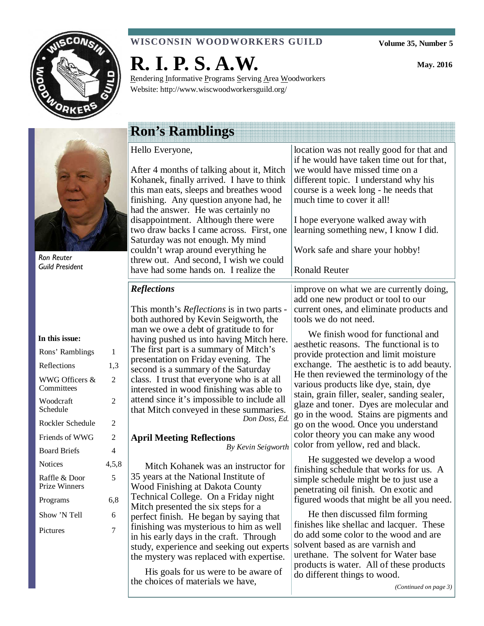

## **WISCONSIN WOODWORKERS GUILD**

**Volume 35, Number 5** 

**May. 2016** 



# **R. I. P. S. A.W.**

Rendering Informative Programs Serving Area Woodworkers Website: http://www.wiscwoodworkersguild.org/

Ron Reuter Guild President

#### **In this issue:**

| Rons' Ramblings                       | 1     |
|---------------------------------------|-------|
| Reflections                           | 1,3   |
| WWG Officers &<br>Committees          | 2     |
| Woodcraft<br>Schedule                 | 2     |
| Rockler Schedule                      | 2     |
| Friends of WWG                        | 2     |
| <b>Board Briefs</b>                   | 4     |
| <b>Notices</b>                        | 4,5,8 |
| Raffle & Door<br><b>Prize Winners</b> | 5     |
| Programs                              | 6.8   |
| Show 'N Tell                          | 6     |
| Pictures                              | 7     |
|                                       |       |

# **Ron's Ramblings**

Hello Everyone,

After 4 months of talking about it, Mitch Kohanek, finally arrived. I have to think this man eats, sleeps and breathes wood finishing. Any question anyone had, he had the answer. He was certainly no disappointment. Although there were two draw backs I came across. First, one Saturday was not enough. My mind couldn't wrap around everything he threw out. And second, I wish we could have had some hands on. I realize the

## *Reflections*

This month's *Reflections* is in two parts both authored by Kevin Seigworth, the man we owe a debt of gratitude to for having pushed us into having Mitch here. The first part is a summary of Mitch's presentation on Friday evening. The second is a summary of the Saturday class. I trust that everyone who is at all interested in wood finishing was able to attend since it's impossible to include all that Mitch conveyed in these summaries. *Don Doss, Ed.* 

### **April Meeting Reflections** *By Kevin Seigworth*

Mitch Kohanek was an instructor for 35 years at the National Institute of Wood Finishing at Dakota County Technical College. On a Friday night Mitch presented the six steps for a perfect finish. He began by saying that finishing was mysterious to him as well in his early days in the craft. Through study, experience and seeking out experts the mystery was replaced with expertise.

His goals for us were to be aware of the choices of materials we have,

if he would have taken time out for that, we would have missed time on a different topic. I understand why his course is a week long - he needs that much time to cover it all! I hope everyone walked away with learning something new, I know I did. Work safe and share your hobby! Ronald Reuter improve on what we are currently doing, add one new product or tool to our current ones, and eliminate products and tools we do not need. We finish wood for functional and aesthetic reasons. The functional is to provide protection and limit moisture exchange. The aesthetic is to add beauty. He then reviewed the terminology of the various products like dye, stain, dye stain, grain filler, sealer, sanding sealer, glaze and toner. Dyes are molecular and go in the wood. Stains are pigments and go on the wood. Once you understand color theory you can make any wood color from yellow, red and black.

location was not really good for that and

He suggested we develop a wood finishing schedule that works for us. A simple schedule might be to just use a penetrating oil finish. On exotic and figured woods that might be all you need.

He then discussed film forming finishes like shellac and lacquer. These do add some color to the wood and are solvent based as are varnish and urethane. The solvent for Water base products is water. All of these products do different things to wood.

*(Continued on page 3)*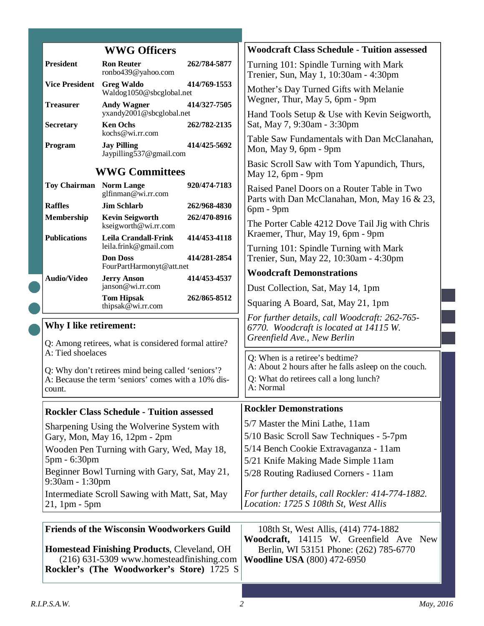|  |                                                                                                                                          | <b>WWG Officers</b>                                                                                                                          |              | <b>Woodcraft Class Schedule - Tuition assessed</b>                                                                                                                                                                                                                       |  |
|--|------------------------------------------------------------------------------------------------------------------------------------------|----------------------------------------------------------------------------------------------------------------------------------------------|--------------|--------------------------------------------------------------------------------------------------------------------------------------------------------------------------------------------------------------------------------------------------------------------------|--|
|  | President                                                                                                                                | <b>Ron Reuter</b><br>ronbo439@yahoo.com                                                                                                      | 262/784-5877 | Turning 101: Spindle Turning with Mark<br>Trenier, Sun, May 1, 10:30am - 4:30pm                                                                                                                                                                                          |  |
|  | <b>Vice President</b>                                                                                                                    | <b>Greg Waldo</b><br>Waldog1050@sbcglobal.net                                                                                                | 414/769-1553 | Mother's Day Turned Gifts with Melanie<br>Wegner, Thur, May 5, 6pm - 9pm                                                                                                                                                                                                 |  |
|  | <b>Treasurer</b>                                                                                                                         | <b>Andy Wagner</b><br>yxandy2001@sbcglobal.net                                                                                               | 414/327-7505 | Hand Tools Setup & Use with Kevin Seigworth,                                                                                                                                                                                                                             |  |
|  | <b>Secretary</b>                                                                                                                         | <b>Ken Ochs</b><br>kochs@wi.rr.com                                                                                                           | 262/782-2135 | Sat, May 7, 9:30am - 3:30pm<br>Table Saw Fundamentals with Dan McClanahan,                                                                                                                                                                                               |  |
|  | Program                                                                                                                                  | <b>Jay Pilling</b><br>Jaypilling537@gmail.com                                                                                                | 414/425-5692 | Mon, May 9, 6pm - 9pm                                                                                                                                                                                                                                                    |  |
|  |                                                                                                                                          | <b>WWG Committees</b>                                                                                                                        |              | Basic Scroll Saw with Tom Yapundich, Thurs,<br>May 12, 6pm - 9pm                                                                                                                                                                                                         |  |
|  | <b>Toy Chairman</b> Norm Lange                                                                                                           | glfinman@wi.rr.com                                                                                                                           | 920/474-7183 | Raised Panel Doors on a Router Table in Two<br>Parts with Dan McClanahan, Mon, May 16 & 23,                                                                                                                                                                              |  |
|  | <b>Raffles</b>                                                                                                                           | <b>Jim Schlarb</b>                                                                                                                           | 262/968-4830 | $6pm - 9pm$                                                                                                                                                                                                                                                              |  |
|  | Membership                                                                                                                               | <b>Kevin Seigworth</b><br>kseigworth@wi.rr.com                                                                                               | 262/470-8916 | The Porter Cable 4212 Dove Tail Jig with Chris                                                                                                                                                                                                                           |  |
|  | <b>Publications</b>                                                                                                                      | <b>Leila Crandall-Frink</b><br>leila.frink@gmail.com                                                                                         | 414/453-4118 | Kraemer, Thur, May 19, 6pm - 9pm<br>Turning 101: Spindle Turning with Mark                                                                                                                                                                                               |  |
|  |                                                                                                                                          | <b>Don Doss</b><br>FourPartHarmonyt@att.net                                                                                                  | 414/281-2854 | Trenier, Sun, May 22, 10:30am - 4:30pm                                                                                                                                                                                                                                   |  |
|  | <b>Audio/Video</b>                                                                                                                       | <b>Jerry Anson</b>                                                                                                                           | 414/453-4537 | <b>Woodcraft Demonstrations</b>                                                                                                                                                                                                                                          |  |
|  |                                                                                                                                          | janson@wi.rr.com                                                                                                                             |              | Dust Collection, Sat, May 14, 1pm                                                                                                                                                                                                                                        |  |
|  |                                                                                                                                          | <b>Tom Hipsak</b><br>thipsak@wi.rr.com                                                                                                       | 262/865-8512 | Squaring A Board, Sat, May 21, 1pm                                                                                                                                                                                                                                       |  |
|  | Why I like retirement:<br>Q: Among retirees, what is considered formal attire?                                                           |                                                                                                                                              |              | For further details, call Woodcraft: 262-765-<br>6770. Woodcraft is located at 14115 W.<br>Greenfield Ave., New Berlin<br>Q: When is a retiree's bedtime?<br>A: About 2 hours after he falls asleep on the couch.<br>Q: What do retirees call a long lunch?<br>A: Normal |  |
|  | A: Tied shoelaces<br>Q: Why don't retirees mind being called 'seniors'?<br>A: Because the term 'seniors' comes with a 10% dis-<br>count. |                                                                                                                                              |              |                                                                                                                                                                                                                                                                          |  |
|  |                                                                                                                                          | <b>Rockler Class Schedule - Tuition assessed</b>                                                                                             |              | <b>Rockler Demonstrations</b>                                                                                                                                                                                                                                            |  |
|  |                                                                                                                                          |                                                                                                                                              |              | 5/7 Master the Mini Lathe, 11am                                                                                                                                                                                                                                          |  |
|  |                                                                                                                                          | Sharpening Using the Wolverine System with<br>Gary, Mon, May 16, 12pm - 2pm                                                                  |              | 5/10 Basic Scroll Saw Techniques - 5-7pm                                                                                                                                                                                                                                 |  |
|  |                                                                                                                                          | Wooden Pen Turning with Gary, Wed, May 18,                                                                                                   |              | 5/14 Bench Cookie Extravaganza - 11am                                                                                                                                                                                                                                    |  |
|  | 5pm - 6:30pm                                                                                                                             |                                                                                                                                              |              | 5/21 Knife Making Made Simple 11am                                                                                                                                                                                                                                       |  |
|  | 9:30am - 1:30pm                                                                                                                          | Beginner Bowl Turning with Gary, Sat, May 21,                                                                                                |              | 5/28 Routing Radiused Corners - 11am                                                                                                                                                                                                                                     |  |
|  | Intermediate Scroll Sawing with Matt, Sat, May<br>21, 1pm - 5pm                                                                          |                                                                                                                                              |              | For further details, call Rockler: 414-774-1882.<br>Location: 1725 S 108th St, West Allis                                                                                                                                                                                |  |
|  |                                                                                                                                          | <b>Friends of the Wisconsin Woodworkers Guild</b>                                                                                            |              | 108th St, West Allis, (414) 774-1882<br>Woodcraft, 14115 W. Greenfield Ave New                                                                                                                                                                                           |  |
|  |                                                                                                                                          | <b>Homestead Finishing Products, Cleveland, OH</b><br>(216) 631-5309 www.homesteadfinishing.com<br>Rockler's (The Woodworker's Store) 1725 S |              | Berlin, WI 53151 Phone: (262) 785-6770<br><b>Woodline USA (800) 472-6950</b>                                                                                                                                                                                             |  |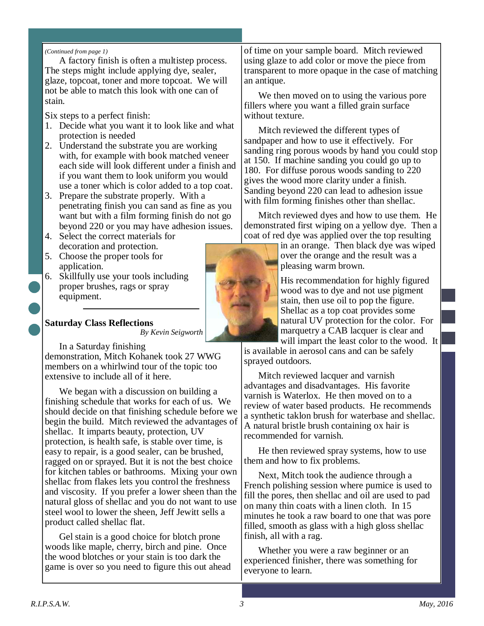#### *(Continued from page 1)*

A factory finish is often a multistep process. The steps might include applying dye, sealer, glaze, topcoat, toner and more topcoat. We will not be able to match this look with one can of stain.

Six steps to a perfect finish:

- 1. Decide what you want it to look like and what protection is needed
- 2. Understand the substrate you are working with, for example with book matched veneer each side will look different under a finish and if you want them to look uniform you would use a toner which is color added to a top coat.
- 3. Prepare the substrate properly. With a penetrating finish you can sand as fine as you want but with a film forming finish do not go beyond 220 or you may have adhesion issues.
- 4. Select the correct materials for decoration and protection.
- 5. Choose the proper tools for application.
- 6. Skillfully use your tools including proper brushes, rags or spray equipment.

#### **Saturday Class Reflections** *By Kevin Seigworth*

In a Saturday finishing

demonstration, Mitch Kohanek took 27 WWG members on a whirlwind tour of the topic too extensive to include all of it here.

We began with a discussion on building a finishing schedule that works for each of us. We should decide on that finishing schedule before we begin the build. Mitch reviewed the advantages of shellac. It imparts beauty, protection, UV protection, is health safe, is stable over time, is easy to repair, is a good sealer, can be brushed, ragged on or sprayed. But it is not the best choice for kitchen tables or bathrooms. Mixing your own shellac from flakes lets you control the freshness and viscosity. If you prefer a lower sheen than the natural gloss of shellac and you do not want to use steel wool to lower the sheen, Jeff Jewitt sells a product called shellac flat.

Gel stain is a good choice for blotch prone woods like maple, cherry, birch and pine. Once the wood blotches or your stain is too dark the game is over so you need to figure this out ahead of time on your sample board. Mitch reviewed using glaze to add color or move the piece from transparent to more opaque in the case of matching an antique.

We then moved on to using the various pore fillers where you want a filled grain surface without texture.

Mitch reviewed the different types of sandpaper and how to use it effectively. For sanding ring porous woods by hand you could stop at 150. If machine sanding you could go up to 180. For diffuse porous woods sanding to 220 gives the wood more clarity under a finish. Sanding beyond 220 can lead to adhesion issue with film forming finishes other than shellac.

Mitch reviewed dyes and how to use them. He demonstrated first wiping on a yellow dye. Then a coat of red dye was applied over the top resulting

> in an orange. Then black dye was wiped over the orange and the result was a pleasing warm brown.

His recommendation for highly figured wood was to dye and not use pigment stain, then use oil to pop the figure. Shellac as a top coat provides some natural UV protection for the color. For marquetry a CAB lacquer is clear and will impart the least color to the wood. It

is available in aerosol cans and can be safely sprayed outdoors.

Mitch reviewed lacquer and varnish advantages and disadvantages. His favorite varnish is Waterlox. He then moved on to a review of water based products. He recommends a synthetic taklon brush for waterbase and shellac. A natural bristle brush containing ox hair is recommended for varnish.

He then reviewed spray systems, how to use them and how to fix problems.

Next, Mitch took the audience through a French polishing session where pumice is used to fill the pores, then shellac and oil are used to pad on many thin coats with a linen cloth. In 15 minutes he took a raw board to one that was pore filled, smooth as glass with a high gloss shellac finish, all with a rag.

Whether you were a raw beginner or an experienced finisher, there was something for everyone to learn.

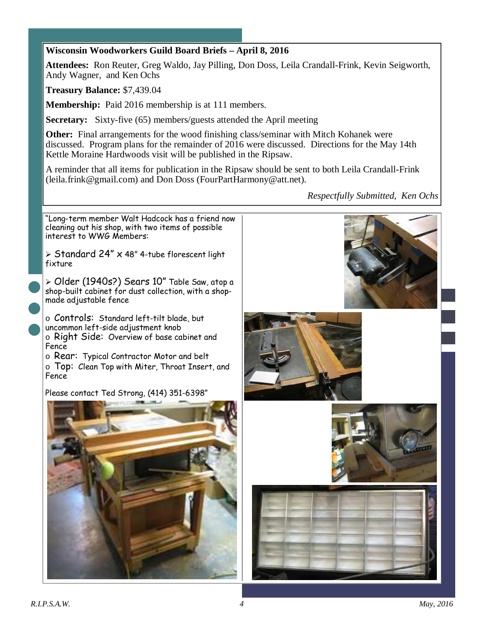## **Wisconsin Woodworkers Guild Board Briefs – April 8, 2016**

**Attendees:** Ron Reuter, Greg Waldo, Jay Pilling, Don Doss, Leila Crandall-Frink, Kevin Seigworth, Andy Wagner, and Ken Ochs

**Treasury Balance:** \$7,439.04

**Membership:** Paid 2016 membership is at 111 members.

**Secretary:** Sixty-five (65) members/guests attended the April meeting

**Other:** Final arrangements for the wood finishing class/seminar with Mitch Kohanek were discussed. Program plans for the remainder of 2016 were discussed. Directions for the May 14th Kettle Moraine Hardwoods visit will be published in the Ripsaw.

A reminder that all items for publication in the Ripsaw should be sent to both Leila Crandall-Frink (leila.frink@gmail.com) and Don Doss (FourPartHarmony@att.net).

*Respectfully Submitted, Ken Ochs* 

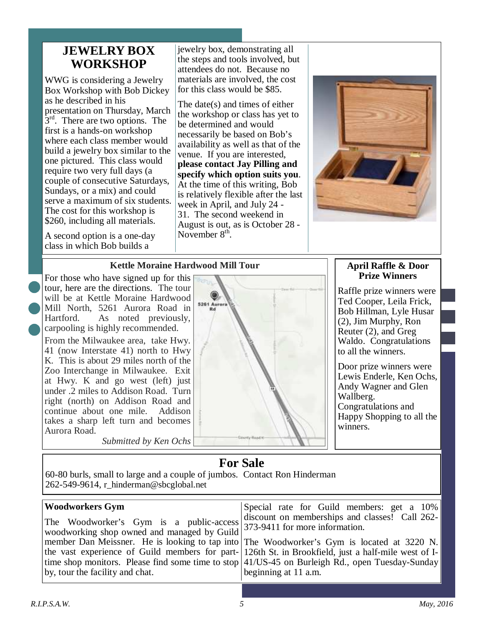## **JEWELRY BOX WORKSHOP**

WWG is considering a Jewelry Box Workshop with Bob Dickey as he described in his presentation on Thursday, March  $3<sup>rd</sup>$ . There are two options. The first is a hands-on workshop where each class member would build a jewelry box similar to the one pictured. This class would require two very full days (a couple of consecutive Saturdays, Sundays, or a mix) and could serve a maximum of six students. The cost for this workshop is \$260, including all materials.

A second option is a one-day class in which Bob builds a

jewelry box, demonstrating all the steps and tools involved, but attendees do not. Because no materials are involved, the cost for this class would be \$85.

The date(s) and times of either the workshop or class has yet to be determined and would necessarily be based on Bob's availability as well as that of the venue. If you are interested, **please contact Jay Pilling and specify which option suits you**. At the time of this writing, Bob is relatively flexible after the last week in April, and July 24 - 31. The second weekend in August is out, as is October 28 - November  $8<sup>th</sup>$ .



## **Kettle Moraine Hardwood Mill Tour**

For those who have signed up for this tour, here are the directions. The tour will be at Kettle Moraine Hardwood Mill North, 5261 Aurora Road in Hartford. As noted previously, carpooling is highly recommended.

From the Milwaukee area, take Hwy. 41 (now Interstate 41) north to Hwy K. This is about 29 miles north of the Zoo Interchange in Milwaukee. Exit at Hwy. K and go west (left) just under .2 miles to Addison Road. Turn right (north) on Addison Road and continue about one mile. Addison takes a sharp left turn and becomes Aurora Road.

*Submitted by Ken Ochs* 



## **April Raffle & Door Prize Winners**

Raffle prize winners were Ted Cooper, Leila Frick, Bob Hillman, Lyle Husar (2), Jim Murphy, Ron Reuter (2), and Greg Waldo. Congratulations to all the winners.

Door prize winners were Lewis Enderle, Ken Ochs, Andy Wagner and Glen Wallberg. Congratulations and Happy Shopping to all the winners.

# **For Sale**

60-80 burls, small to large and a couple of jumbos. Contact Ron Hinderman 262-549-9614, r\_hinderman@sbcglobal.net

| <b>Woodworkers Gym</b>                                                                      | Special rate for Guild members: get a 10%                                                                                                                                                                                                                                                                                     |  |
|---------------------------------------------------------------------------------------------|-------------------------------------------------------------------------------------------------------------------------------------------------------------------------------------------------------------------------------------------------------------------------------------------------------------------------------|--|
| The Woodworker's Gym is a public-access as a public-access 3 373-9411 for more information. | discount on memberships and classes! Call 262-                                                                                                                                                                                                                                                                                |  |
| by, tour the facility and chat.                                                             | member Dan Meissner. He is looking to tap into The Woodworker's Gym is located at 3220 N.<br>the vast experience of Guild members for part-126th St. in Brookfield, just a half-mile west of I-<br>time shop monitors. Please find some time to stop $ 41/US-45$ on Burleigh Rd., open Tuesday-Sunday<br>beginning at 11 a.m. |  |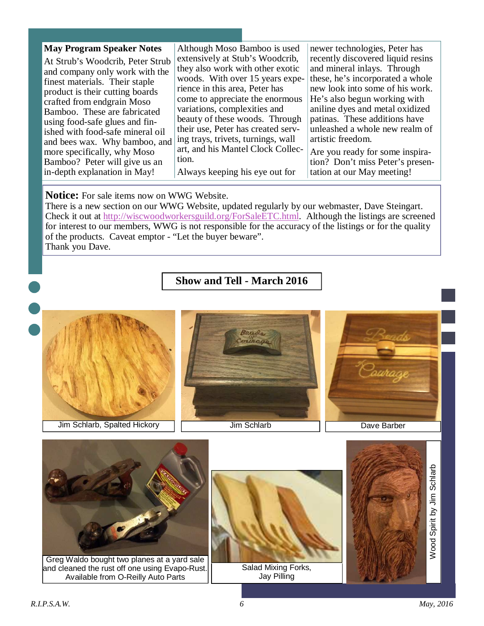| <b>May Program Speaker Notes</b> | Although Moso Bamboo is used       | newer technologies, Peter has     |
|----------------------------------|------------------------------------|-----------------------------------|
| At Strub's Woodcrib, Peter Strub | extensively at Stub's Woodcrib,    | recently discovered liquid resins |
| and company only work with the   | they also work with other exotic   | and mineral inlays. Through       |
| finest materials. Their staple   | woods. With over 15 years expe-    | these, he's incorporated a whole  |
| product is their cutting boards  | rience in this area, Peter has     | new look into some of his work.   |
| crafted from endgrain Moso       | come to appreciate the enormous    | He's also begun working with      |
| Bamboo. These are fabricated     | variations, complexities and       | aniline dyes and metal oxidized   |
| using food-safe glues and fin-   | beauty of these woods. Through     | patinas. These additions have     |
| ished with food-safe mineral oil | their use, Peter has created serv- | unleashed a whole new realm of    |
| and bees wax. Why bamboo, and    | ing trays, trivets, turnings, wall | artistic freedom.                 |
| more specifically, why Moso      | art, and his Mantel Clock Collec-  | Are you ready for some inspira-   |
| Bamboo? Peter will give us an    | tion.                              | tion? Don't miss Peter's presen-  |
| in-depth explanation in May!     | Always keeping his eye out for     | tation at our May meeting!        |

### **Notice:** For sale items now on WWG Website.

There is a new section on our WWG Website, updated regularly by our webmaster, Dave Steingart. Check it out at http://wiscwoodworkersguild.org/ForSaleETC.html. Although the listings are screened for interest to our members, WWG is not responsible for the accuracy of the listings or for the quality of the products. Caveat emptor - "Let the buyer beware". Thank you Dave.

## **Show and Tell - March 2016**

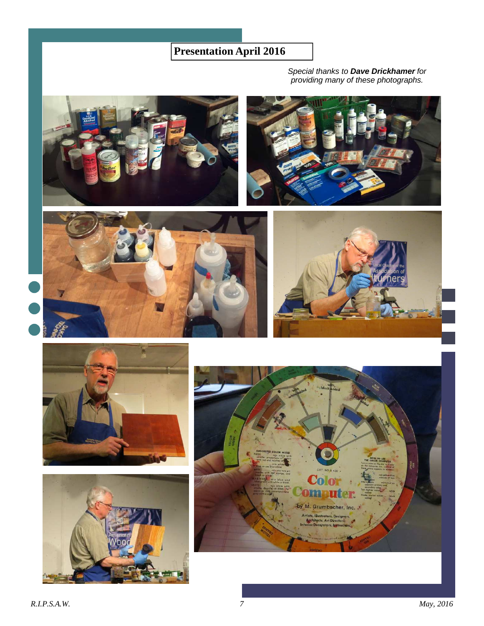# **Presentation April 2016**

Special thanks to **Dave Drickhamer** for providing many of these photographs.